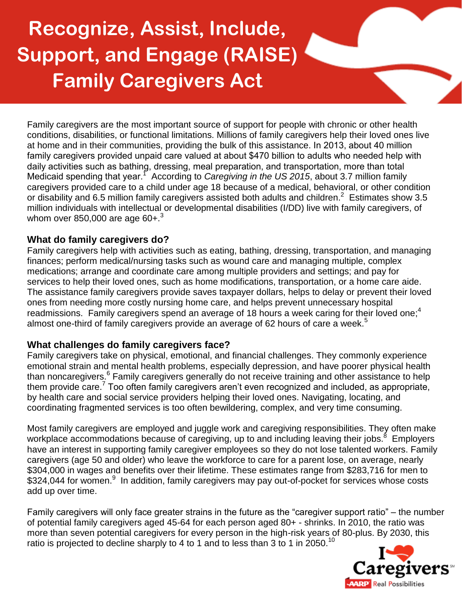# **Recognize, Assist, Include, Support, and Engage (RAISE) Family Caregivers Act**

Family caregivers are the most important source of support for people with chronic or other health conditions, disabilities, or functional limitations. Millions of family caregivers help their loved ones live at home and in their communities, providing the bulk of this assistance. In 2013, about 40 million family caregivers provided unpaid care valued at about \$470 billion to adults who needed help with daily activities such as bathing, dressing, meal preparation, and transportation, more than total Medicaid spending that year.<sup>1</sup> According to *Caregiving in the US 2015*, about 3.7 million family caregivers provided care to a child under age 18 because of a medical, behavioral, or other condition or disability and 6.5 million family caregivers assisted both adults and children.<sup>2</sup> Estimates show 3.5 million individuals with intellectual or developmental disabilities (I/DD) live with family caregivers, of whom over 850,000 are age  $60+.3$ 

## **What do family caregivers do?**

Family caregivers help with activities such as eating, bathing, dressing, transportation, and managing finances; perform medical/nursing tasks such as wound care and managing multiple, complex medications; arrange and coordinate care among multiple providers and settings; and pay for services to help their loved ones, such as home modifications, transportation, or a home care aide. The assistance family caregivers provide saves taxpayer dollars, helps to delay or prevent their loved ones from needing more costly nursing home care, and helps prevent unnecessary hospital readmissions. Family caregivers spend an average of 18 hours a week caring for their loved one;<sup>4</sup> almost one-third of family caregivers provide an average of 62 hours of care a week.<sup>5</sup>

#### **What challenges do family caregivers face?**

Family caregivers take on physical, emotional, and financial challenges. They commonly experience emotional strain and mental health problems, especially depression, and have poorer physical health than noncaregivers.<sup>6</sup> Family caregivers generally do not receive training and other assistance to help them provide care.<sup>7</sup> Too often family caregivers aren't even recognized and included, as appropriate, by health care and social service providers helping their loved ones. Navigating, locating, and coordinating fragmented services is too often bewildering, complex, and very time consuming.

Most family caregivers are employed and juggle work and caregiving responsibilities. They often make workplace accommodations because of caregiving, up to and including leaving their jobs.<sup>8</sup> Employers have an interest in supporting family caregiver employees so they do not lose talented workers. Family caregivers (age 50 and older) who leave the workforce to care for a parent lose, on average, nearly \$304,000 in wages and benefits over their lifetime. These estimates range from \$283,716 for men to \$324,044 for women.<sup>9</sup> In addition, family caregivers may pay out-of-pocket for services whose costs add up over time.

Family caregivers will only face greater strains in the future as the "caregiver support ratio" – the number of potential family caregivers aged 45-64 for each person aged 80+ - shrinks. In 2010, the ratio was more than seven potential caregivers for every person in the high-risk years of 80-plus. By 2030, this ratio is projected to decline sharply to 4 to 1 and to less than 3 to 1 in 2050.<sup>10</sup>

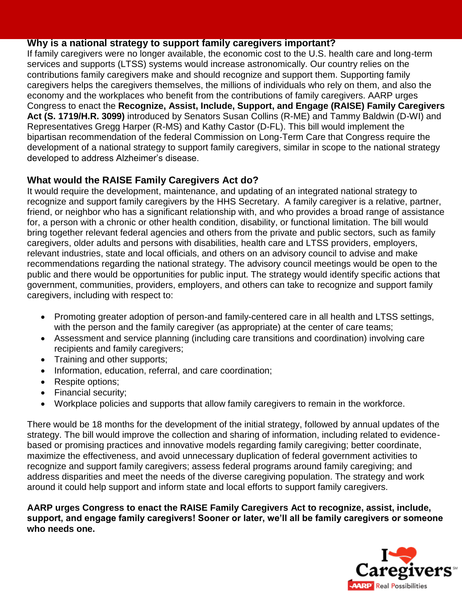## **Why is a national strategy to support family caregivers important?**

If family caregivers were no longer available, the economic cost to the U.S. health care and long-term services and supports (LTSS) systems would increase astronomically. Our country relies on the contributions family caregivers make and should recognize and support them. Supporting family caregivers helps the caregivers themselves, the millions of individuals who rely on them, and also the economy and the workplaces who benefit from the contributions of family caregivers. AARP urges Congress to enact the **Recognize, Assist, Include, Support, and Engage (RAISE) Family Caregivers Act (S. 1719/H.R. 3099)** introduced by Senators Susan Collins (R-ME) and Tammy Baldwin (D-WI) and Representatives Gregg Harper (R-MS) and Kathy Castor (D-FL). This bill would implement the bipartisan recommendation of the federal Commission on Long-Term Care that Congress require the development of a national strategy to support family caregivers, similar in scope to the national strategy developed to address Alzheimer's disease.

# **What would the RAISE Family Caregivers Act do?**

It would require the development, maintenance, and updating of an integrated national strategy to recognize and support family caregivers by the HHS Secretary. A family caregiver is a relative, partner, friend, or neighbor who has a significant relationship with, and who provides a broad range of assistance for, a person with a chronic or other health condition, disability, or functional limitation. The bill would bring together relevant federal agencies and others from the private and public sectors, such as family caregivers, older adults and persons with disabilities, health care and LTSS providers, employers, relevant industries, state and local officials, and others on an advisory council to advise and make recommendations regarding the national strategy. The advisory council meetings would be open to the public and there would be opportunities for public input. The strategy would identify specific actions that government, communities, providers, employers, and others can take to recognize and support family caregivers, including with respect to:

- Promoting greater adoption of person-and family-centered care in all health and LTSS settings, with the person and the family caregiver (as appropriate) at the center of care teams;
- Assessment and service planning (including care transitions and coordination) involving care recipients and family caregivers;
- Training and other supports;
- Information, education, referral, and care coordination;
- Respite options;
- Financial security:
- Workplace policies and supports that allow family caregivers to remain in the workforce.

There would be 18 months for the development of the initial strategy, followed by annual updates of the strategy. The bill would improve the collection and sharing of information, including related to evidencebased or promising practices and innovative models regarding family caregiving; better coordinate, maximize the effectiveness, and avoid unnecessary duplication of federal government activities to recognize and support family caregivers; assess federal programs around family caregiving; and address disparities and meet the needs of the diverse caregiving population. The strategy and work around it could help support and inform state and local efforts to support family caregivers.

**AARP urges Congress to enact the RAISE Family Caregivers Act to recognize, assist, include, support, and engage family caregivers! Sooner or later, we'll all be family caregivers or someone who needs one.**